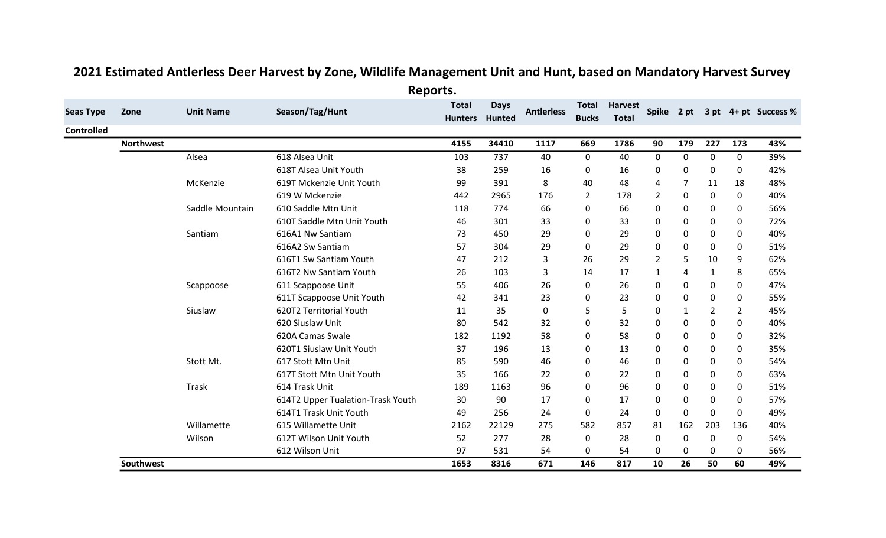|                   |                  |                  | -ד                                |                                |                              |                   |                              |                                |                |     |              |             |                      |
|-------------------|------------------|------------------|-----------------------------------|--------------------------------|------------------------------|-------------------|------------------------------|--------------------------------|----------------|-----|--------------|-------------|----------------------|
| <b>Seas Type</b>  | Zone             | <b>Unit Name</b> | Season/Tag/Hunt                   | <b>Total</b><br><b>Hunters</b> | <b>Days</b><br><b>Hunted</b> | <b>Antlerless</b> | <b>Total</b><br><b>Bucks</b> | <b>Harvest</b><br><b>Total</b> | Spike 2 pt     |     |              |             | 3 pt 4+ pt Success % |
| <b>Controlled</b> |                  |                  |                                   |                                |                              |                   |                              |                                |                |     |              |             |                      |
|                   | <b>Northwest</b> |                  |                                   | 4155                           | 34410                        | 1117              | 669                          | 1786                           | 90             | 179 | 227          | 173         | 43%                  |
|                   |                  | Alsea            | 618 Alsea Unit                    | 103                            | 737                          | 40                | 0                            | 40                             | $\mathbf 0$    | 0   | $\mathbf 0$  | $\mathbf 0$ | 39%                  |
|                   |                  |                  | 618T Alsea Unit Youth             | 38                             | 259                          | 16                | 0                            | 16                             | 0              | 0   | 0            | 0           | 42%                  |
|                   |                  | McKenzie         | 619T Mckenzie Unit Youth          | 99                             | 391                          | 8                 | 40                           | 48                             | 4              | 7   | 11           | 18          | 48%                  |
|                   |                  |                  | 619 W Mckenzie                    | 442                            | 2965                         | 176               | $\overline{2}$               | 178                            | $\overline{2}$ | 0   | $\mathbf{0}$ | 0           | 40%                  |
|                   |                  | Saddle Mountain  | 610 Saddle Mtn Unit               | 118                            | 774                          | 66                | 0                            | 66                             | $\pmb{0}$      | 0   | 0            | $\mathbf 0$ | 56%                  |
|                   |                  |                  | 610T Saddle Mtn Unit Youth        | 46                             | 301                          | 33                | 0                            | 33                             | $\mathbf 0$    | 0   | 0            | 0           | 72%                  |
|                   |                  | Santiam          | 616A1 Nw Santiam                  | 73                             | 450                          | 29                | 0                            | 29                             | $\mathbf 0$    | 0   | 0            | $\mathbf 0$ | 40%                  |
|                   |                  |                  | 616A2 Sw Santiam                  | 57                             | 304                          | 29                | 0                            | 29                             | $\pmb{0}$      | 0   | $\mathbf{0}$ | 0           | 51%                  |
|                   |                  |                  | 616T1 Sw Santiam Youth            | 47                             | 212                          | 3                 | 26                           | 29                             | $\overline{2}$ | 5   | 10           | 9           | 62%                  |
|                   |                  |                  | 616T2 Nw Santiam Youth            | 26                             | 103                          | 3                 | 14                           | 17                             | $\mathbf{1}$   | 4   | $\mathbf{1}$ | 8           | 65%                  |
|                   |                  | Scappoose        | 611 Scappoose Unit                | 55                             | 406                          | 26                | 0                            | 26                             | $\pmb{0}$      | 0   | 0            | 0           | 47%                  |
|                   |                  |                  | 611T Scappoose Unit Youth         | 42                             | 341                          | 23                | 0                            | 23                             | $\pmb{0}$      | 0   | 0            | 0           | 55%                  |
|                   |                  | Siuslaw          | 620T2 Territorial Youth           | 11                             | 35                           | 0                 | 5                            | 5                              | $\mathbf 0$    | 1   | 2            | 2           | 45%                  |
|                   |                  |                  | 620 Siuslaw Unit                  | 80                             | 542                          | 32                | 0                            | 32                             | $\mathbf 0$    | 0   | 0            | 0           | 40%                  |
|                   |                  |                  | 620A Camas Swale                  | 182                            | 1192                         | 58                | 0                            | 58                             | $\mathbf 0$    | 0   | 0            | 0           | 32%                  |
|                   |                  |                  | 620T1 Siuslaw Unit Youth          | 37                             | 196                          | 13                | 0                            | 13                             | $\pmb{0}$      | 0   | $\mathbf{0}$ | $\mathbf 0$ | 35%                  |
|                   |                  | Stott Mt.        | 617 Stott Mtn Unit                | 85                             | 590                          | 46                | 0                            | 46                             | $\pmb{0}$      | 0   | $\mathbf{0}$ | 0           | 54%                  |
|                   |                  |                  | 617T Stott Mtn Unit Youth         | 35                             | 166                          | 22                | 0                            | 22                             | $\mathbf 0$    | 0   | 0            | $\mathbf 0$ | 63%                  |
|                   |                  | Trask            | 614 Trask Unit                    | 189                            | 1163                         | 96                | 0                            | 96                             | $\mathbf 0$    | 0   | $\mathbf{0}$ | 0           | 51%                  |
|                   |                  |                  | 614T2 Upper Tualation-Trask Youth | 30                             | 90                           | 17                | 0                            | 17                             | $\pmb{0}$      | 0   | $\mathbf{0}$ | 0           | 57%                  |
|                   |                  |                  | 614T1 Trask Unit Youth            | 49                             | 256                          | 24                | 0                            | 24                             | $\mathbf 0$    | 0   | 0            | 0           | 49%                  |
|                   |                  | Willamette       | 615 Willamette Unit               | 2162                           | 22129                        | 275               | 582                          | 857                            | 81             | 162 | 203          | 136         | 40%                  |
|                   |                  | Wilson           | 612T Wilson Unit Youth            | 52                             | 277                          | 28                | 0                            | 28                             | $\mathbf 0$    | 0   | 0            | 0           | 54%                  |
|                   |                  |                  | 612 Wilson Unit                   | 97                             | 531                          | 54                | 0                            | 54                             | 0              | 0   | 0            | 0           | 56%                  |
|                   | Southwest        |                  |                                   | 1653                           | 8316                         | 671               | 146                          | 817                            | 10             | 26  | 50           | 60          | 49%                  |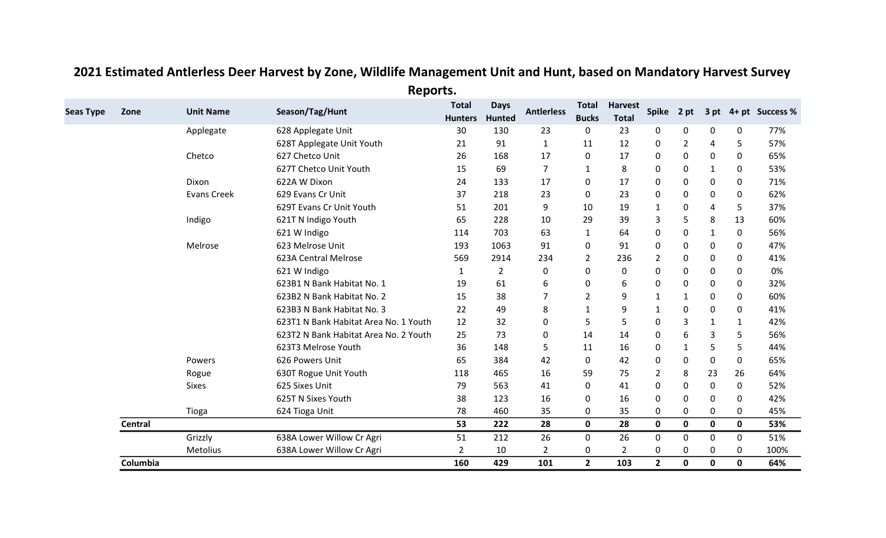|                          |                    | $\cdots \varkappa$                    |                                |                              |                   |                       |                                |                |                |              |             |                      |
|--------------------------|--------------------|---------------------------------------|--------------------------------|------------------------------|-------------------|-----------------------|--------------------------------|----------------|----------------|--------------|-------------|----------------------|
| <b>Seas Type</b><br>Zone | <b>Unit Name</b>   | Season/Tag/Hunt                       | <b>Total</b><br><b>Hunters</b> | <b>Days</b><br><b>Hunted</b> | <b>Antlerless</b> | Total<br><b>Bucks</b> | <b>Harvest</b><br><b>Total</b> | Spike 2 pt     |                |              |             | 3 pt 4+ pt Success % |
|                          | Applegate          | 628 Applegate Unit                    | 30                             | 130                          | 23                | 0                     | 23                             | 0              | 0              | 0            | 0           | 77%                  |
|                          |                    | 628T Applegate Unit Youth             | 21                             | 91                           | $\mathbf{1}$      | 11                    | 12                             | 0              | $\overline{2}$ | 4            | 5           | 57%                  |
|                          | Chetco             | 627 Chetco Unit                       | 26                             | 168                          | 17                | $\mathbf{0}$          | 17                             | 0              | 0              | 0            | 0           | 65%                  |
|                          |                    | 627T Chetco Unit Youth                | 15                             | 69                           | $\overline{7}$    | 1                     | 8                              | 0              | 0              | 1            | 0           | 53%                  |
|                          | Dixon              | 622A W Dixon                          | 24                             | 133                          | 17                | $\Omega$              | 17                             | $\mathbf 0$    | 0              | 0            | 0           | 71%                  |
|                          | <b>Evans Creek</b> | 629 Evans Cr Unit                     | 37                             | 218                          | 23                | $\mathbf{0}$          | 23                             | 0              | 0              | 0            | 0           | 62%                  |
|                          |                    | 629T Evans Cr Unit Youth              | 51                             | 201                          | 9                 | 10                    | 19                             | $\mathbf{1}$   | 0              | 4            | 5           | 37%                  |
|                          | Indigo             | 621T N Indigo Youth                   | 65                             | 228                          | 10                | 29                    | 39                             | 3              | 5              | 8            | 13          | 60%                  |
|                          |                    | 621 W Indigo                          | 114                            | 703                          | 63                | $\mathbf{1}$          | 64                             | 0              | 0              | 1            | 0           | 56%                  |
|                          | Melrose            | 623 Melrose Unit                      | 193                            | 1063                         | 91                | 0                     | 91                             | 0              | 0              | 0            | 0           | 47%                  |
|                          |                    | 623A Central Melrose                  | 569                            | 2914                         | 234               | $\overline{2}$        | 236                            | $\overline{2}$ | 0              | 0            | 0           | 41%                  |
|                          |                    | 621 W Indigo                          | $\mathbf{1}$                   | $\overline{2}$               | 0                 | 0                     | $\mathbf{0}$                   | $\mathbf 0$    | 0              | 0            | 0           | 0%                   |
|                          |                    | 623B1 N Bank Habitat No. 1            | 19                             | 61                           | 6                 | 0                     | 6                              | 0              | 0              | 0            | 0           | 32%                  |
|                          |                    | 623B2 N Bank Habitat No. 2            | 15                             | 38                           | 7                 | $\overline{2}$        | 9                              | $\mathbf{1}$   | $\mathbf{1}$   | 0            | 0           | 60%                  |
|                          |                    | 623B3 N Bank Habitat No. 3            | 22                             | 49                           | 8                 | $\mathbf{1}$          | 9                              | $\mathbf{1}$   | 0              | 0            | 0           | 41%                  |
|                          |                    | 623T1 N Bank Habitat Area No. 1 Youth | 12                             | 32                           | 0                 | 5                     | 5                              | 0              | 3              | $\mathbf{1}$ | 1           | 42%                  |
|                          |                    | 623T2 N Bank Habitat Area No. 2 Youth | 25                             | 73                           | 0                 | 14                    | 14                             | 0              | 6              | 3            | 5           | 56%                  |
|                          |                    | 623T3 Melrose Youth                   | 36                             | 148                          | 5                 | 11                    | 16                             | 0              | $\mathbf{1}$   | 5            | 5           | 44%                  |
|                          | Powers             | 626 Powers Unit                       | 65                             | 384                          | 42                | 0                     | 42                             | 0              | 0              | 0            | 0           | 65%                  |
|                          | Rogue              | 630T Rogue Unit Youth                 | 118                            | 465                          | 16                | 59                    | 75                             | $\overline{2}$ | 8              | 23           | 26          | 64%                  |
|                          | <b>Sixes</b>       | 625 Sixes Unit                        | 79                             | 563                          | 41                | $\Omega$              | 41                             | 0              | 0              | 0            | 0           | 52%                  |
|                          |                    | 625T N Sixes Youth                    | 38                             | 123                          | 16                | $\Omega$              | 16                             | 0              | 0              | 0            | 0           | 42%                  |
|                          | Tioga              | 624 Tioga Unit                        | 78                             | 460                          | 35                | $\Omega$              | 35                             | 0              | 0              | 0            | 0           | 45%                  |
| Central                  |                    |                                       | 53                             | 222                          | 28                | $\mathbf 0$           | 28                             | $\mathbf 0$    | 0              | 0            | $\mathbf 0$ | 53%                  |
|                          | Grizzly            | 638A Lower Willow Cr Agri             | 51                             | 212                          | 26                | 0                     | 26                             | 0              | 0              | 0            | 0           | 51%                  |
|                          | Metolius           | 638A Lower Willow Cr Agri             | $\overline{2}$                 | 10                           | $\overline{2}$    | 0                     | $\overline{2}$                 | 0              | 0              | 0            | 0           | 100%                 |
| Columbia                 |                    |                                       | 160                            | 429                          | 101               | $\overline{2}$        | 103                            | $\overline{2}$ | 0              | 0            | $\mathbf 0$ | 64%                  |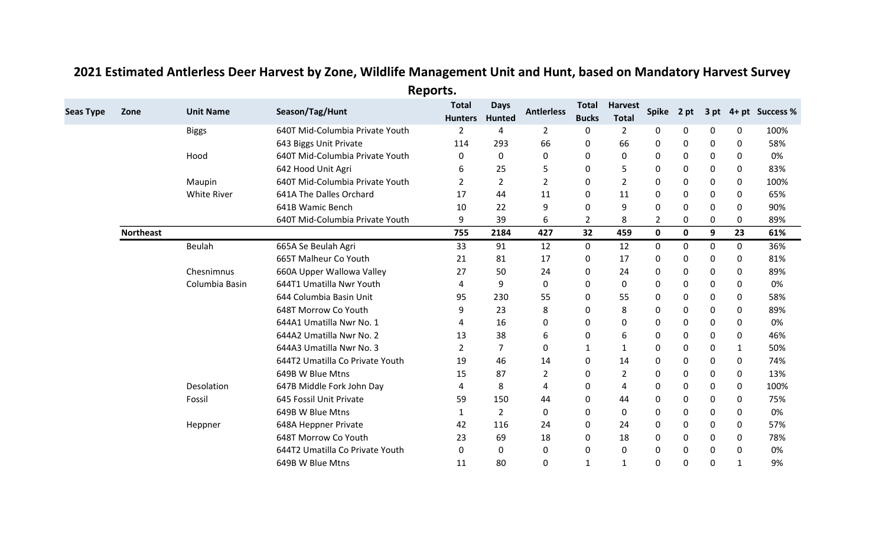|                  |                  |                    | $\cdots$ r $\cdots$             |                                |                       |                   |                              |                                |                |             |   |              |                      |
|------------------|------------------|--------------------|---------------------------------|--------------------------------|-----------------------|-------------------|------------------------------|--------------------------------|----------------|-------------|---|--------------|----------------------|
| <b>Seas Type</b> | Zone             | <b>Unit Name</b>   | Season/Tag/Hunt                 | <b>Total</b><br><b>Hunters</b> | <b>Days</b><br>Hunted | <b>Antierless</b> | <b>Total</b><br><b>Bucks</b> | <b>Harvest</b><br><b>Total</b> | Spike 2 pt     |             |   |              | 3 pt 4+ pt Success % |
|                  |                  | <b>Biggs</b>       | 640T Mid-Columbia Private Youth | 2                              | 4                     | $\overline{2}$    | 0                            | $\overline{2}$                 | 0              | 0           | 0 | 0            | 100%                 |
|                  |                  |                    | 643 Biggs Unit Private          | 114                            | 293                   | 66                | 0                            | 66                             | 0              | 0           | 0 | 0            | 58%                  |
|                  |                  | Hood               | 640T Mid-Columbia Private Youth | 0                              | 0                     | 0                 | 0                            | 0                              | 0              | 0           | 0 | 0            | 0%                   |
|                  |                  |                    | 642 Hood Unit Agri              | 6                              | 25                    | 5                 | 0                            | 5                              | 0              | 0           | 0 | 0            | 83%                  |
|                  |                  | Maupin             | 640T Mid-Columbia Private Youth | 2                              | $\overline{2}$        | 2                 | 0                            | 2                              | 0              | 0           | 0 | 0            | 100%                 |
|                  |                  | <b>White River</b> | 641A The Dalles Orchard         | 17                             | 44                    | 11                | 0                            | 11                             | 0              | 0           | 0 | 0            | 65%                  |
|                  |                  |                    | 641B Wamic Bench                | 10                             | 22                    | 9                 | $\Omega$                     | 9                              | 0              | 0           | 0 | 0            | 90%                  |
|                  |                  |                    | 640T Mid-Columbia Private Youth | 9                              | 39                    | 6                 | $\overline{2}$               | 8                              | $\overline{2}$ | 0           | 0 | 0            | 89%                  |
|                  | <b>Northeast</b> |                    |                                 | 755                            | 2184                  | 427               | 32                           | 459                            | $\mathbf 0$    | $\mathbf 0$ | 9 | 23           | 61%                  |
|                  |                  | Beulah             | 665A Se Beulah Agri             | 33                             | 91                    | 12                | 0                            | 12                             | $\mathbf 0$    | 0           | 0 | 0            | 36%                  |
|                  |                  |                    | 665T Malheur Co Youth           | 21                             | 81                    | 17                | 0                            | 17                             | 0              | 0           | 0 | 0            | 81%                  |
|                  |                  | Chesnimnus         | 660A Upper Wallowa Valley       | 27                             | 50                    | 24                | 0                            | 24                             | 0              | 0           | 0 | 0            | 89%                  |
|                  |                  | Columbia Basin     | 644T1 Umatilla Nwr Youth        | 4                              | 9                     | 0                 | 0                            | 0                              | 0              | 0           | 0 | 0            | 0%                   |
|                  |                  |                    | 644 Columbia Basin Unit         | 95                             | 230                   | 55                | 0                            | 55                             | 0              | 0           | 0 | 0            | 58%                  |
|                  |                  |                    | 648T Morrow Co Youth            | 9                              | 23                    | 8                 | 0                            | 8                              | 0              | 0           | 0 | 0            | 89%                  |
|                  |                  |                    | 644A1 Umatilla Nwr No. 1        | 4                              | 16                    | 0                 | 0                            | 0                              | $\mathbf 0$    | 0           | 0 | 0            | 0%                   |
|                  |                  |                    | 644A2 Umatilla Nwr No. 2        | 13                             | 38                    | 6                 | 0                            | 6                              | 0              | 0           | 0 | 0            | 46%                  |
|                  |                  |                    | 644A3 Umatilla Nwr No. 3        | $\overline{2}$                 | $\overline{7}$        | 0                 | 1                            | $\mathbf 1$                    | 0              | 0           | 0 | 1            | 50%                  |
|                  |                  |                    | 644T2 Umatilla Co Private Youth | 19                             | 46                    | 14                | $\Omega$                     | 14                             | $\mathbf 0$    | 0           | 0 | 0            | 74%                  |
|                  |                  |                    | 649B W Blue Mtns                | 15                             | 87                    | $\overline{2}$    | 0                            | $\overline{2}$                 | $\mathbf 0$    | 0           | 0 | 0            | 13%                  |
|                  |                  | Desolation         | 647B Middle Fork John Day       | 4                              | 8                     | 4                 | 0                            | 4                              | $\mathbf 0$    | 0           | 0 | 0            | 100%                 |
|                  |                  | Fossil             | 645 Fossil Unit Private         | 59                             | 150                   | 44                | 0                            | 44                             | 0              | 0           | 0 | 0            | 75%                  |
|                  |                  |                    | 649B W Blue Mtns                | 1                              | $\overline{2}$        | $\mathbf{0}$      | 0                            | 0                              | 0              | 0           | 0 | 0            | 0%                   |
|                  |                  | Heppner            | 648A Heppner Private            | 42                             | 116                   | 24                | 0                            | 24                             | 0              | 0           | 0 | 0            | 57%                  |
|                  |                  |                    | 648T Morrow Co Youth            | 23                             | 69                    | 18                | 0                            | 18                             | 0              | 0           | 0 | 0            | 78%                  |
|                  |                  |                    | 644T2 Umatilla Co Private Youth | 0                              | 0                     | 0                 | 0                            | 0                              | 0              | 0           | 0 | 0            | 0%                   |
|                  |                  |                    | 649B W Blue Mtns                | 11                             | 80                    | 0                 | 1                            | 1                              | $\mathbf{0}$   | 0           | 0 | $\mathbf{1}$ | 9%                   |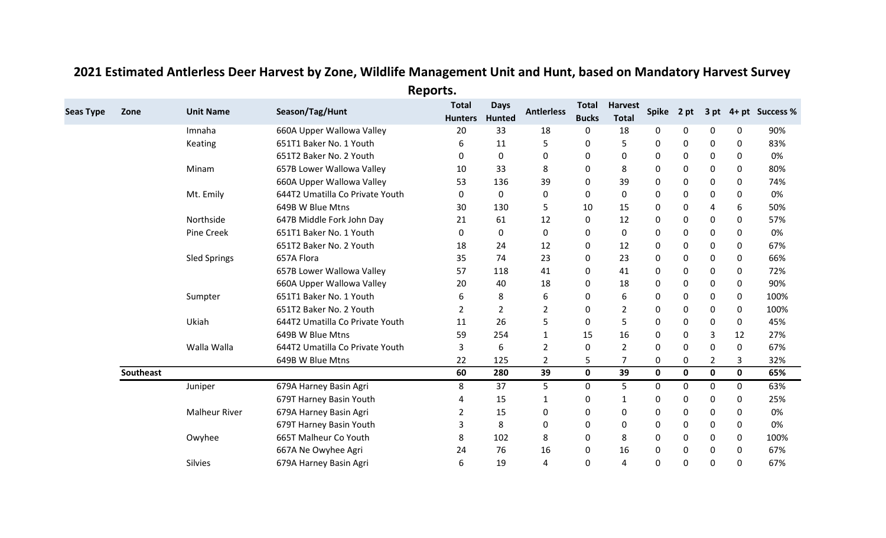| <b>Seas Type</b> | Zone      | <b>Unit Name</b>     | Season/Tag/Hunt                 | <b>Total</b><br><b>Hunters</b> | <b>Days</b><br>Hunted | <b>Antierless</b> | <b>Total</b><br><b>Bucks</b> | <b>Harvest</b><br><b>Total</b> | <b>Spike</b> | 2 pt        |              |             | 3 pt 4+ pt Success % |
|------------------|-----------|----------------------|---------------------------------|--------------------------------|-----------------------|-------------------|------------------------------|--------------------------------|--------------|-------------|--------------|-------------|----------------------|
|                  |           | Imnaha               | 660A Upper Wallowa Valley       | 20                             | 33                    | 18                | 0                            | 18                             | 0            | 0           | 0            | 0           | 90%                  |
|                  |           | Keating              | 651T1 Baker No. 1 Youth         | 6                              | 11                    | 5                 | 0                            | 5                              | $\mathbf 0$  | 0           | 0            | 0           | 83%                  |
|                  |           |                      | 651T2 Baker No. 2 Youth         | 0                              | 0                     | 0                 | 0                            | 0                              | 0            | 0           | 0            | 0           | 0%                   |
|                  |           | Minam                | 657B Lower Wallowa Valley       | 10                             | 33                    | 8                 | 0                            | 8                              | $\mathbf 0$  | 0           | 0            | 0           | 80%                  |
|                  |           |                      | 660A Upper Wallowa Valley       | 53                             | 136                   | 39                | $\Omega$                     | 39                             | $\mathbf 0$  | 0           | 0            | 0           | 74%                  |
|                  |           | Mt. Emily            | 644T2 Umatilla Co Private Youth | 0                              | 0                     | 0                 | 0                            | 0                              | $\mathbf 0$  | 0           | 0            | 0           | 0%                   |
|                  |           |                      | 649B W Blue Mtns                | 30                             | 130                   | 5                 | 10                           | 15                             | $\mathbf 0$  | 0           | 4            | 6           | 50%                  |
|                  |           | Northside            | 647B Middle Fork John Day       | 21                             | 61                    | 12                | 0                            | 12                             | 0            | 0           | 0            | 0           | 57%                  |
|                  |           | Pine Creek           | 651T1 Baker No. 1 Youth         | 0                              | 0                     | 0                 | 0                            | 0                              | 0            | 0           | 0            | 0           | 0%                   |
|                  |           |                      | 651T2 Baker No. 2 Youth         | 18                             | 24                    | 12                | 0                            | 12                             | 0            | 0           | 0            | 0           | 67%                  |
|                  |           | <b>Sled Springs</b>  | 657A Flora                      | 35                             | 74                    | 23                | 0                            | 23                             | $\mathbf 0$  | 0           | 0            | 0           | 66%                  |
|                  |           |                      | 657B Lower Wallowa Valley       | 57                             | 118                   | 41                | 0                            | 41                             | $\mathbf 0$  | 0           | 0            | 0           | 72%                  |
|                  |           |                      | 660A Upper Wallowa Valley       | 20                             | 40                    | 18                | 0                            | 18                             | 0            | 0           | 0            | 0           | 90%                  |
|                  |           | Sumpter              | 651T1 Baker No. 1 Youth         | 6                              | 8                     | 6                 | 0                            | 6                              | 0            | 0           | 0            | 0           | 100%                 |
|                  |           |                      | 651T2 Baker No. 2 Youth         | 2                              | $\overline{2}$        | 2                 | 0                            | $\overline{2}$                 | 0            | 0           | 0            | 0           | 100%                 |
|                  |           | Ukiah                | 644T2 Umatilla Co Private Youth | 11                             | 26                    | 5                 | 0                            | 5                              | $\mathbf 0$  | 0           | 0            | 0           | 45%                  |
|                  |           |                      | 649B W Blue Mtns                | 59                             | 254                   | 1                 | 15                           | 16                             | 0            | 0           | 3            | 12          | 27%                  |
|                  |           | Walla Walla          | 644T2 Umatilla Co Private Youth | 3                              | 6                     | $\overline{2}$    | 0                            | $\overline{2}$                 | $\mathbf 0$  | 0           | $\mathbf{0}$ | 0           | 67%                  |
|                  |           |                      | 649B W Blue Mtns                | 22                             | 125                   | $\overline{2}$    | 5                            |                                | 0            | 0           | 2            | 3           | 32%                  |
|                  | Southeast |                      |                                 | 60                             | 280                   | 39                | $\mathbf{0}$                 | 39                             | $\mathbf{0}$ | $\mathbf 0$ | $\mathbf 0$  | $\mathbf 0$ | 65%                  |
|                  |           | Juniper              | 679A Harney Basin Agri          | 8                              | 37                    | 5.                | 0                            | 5                              | 0            | 0           | 0            | 0           | 63%                  |
|                  |           |                      | 679T Harney Basin Youth         | 4                              | 15                    | 1                 | 0                            | 1                              | 0            | 0           | 0            | 0           | 25%                  |
|                  |           | <b>Malheur River</b> | 679A Harney Basin Agri          | 2                              | 15                    | 0                 | 0                            | 0                              | 0            | 0           | 0            | 0           | 0%                   |
|                  |           |                      | 679T Harney Basin Youth         | 3                              | 8                     | $\mathbf{0}$      | 0                            | 0                              | 0            | 0           | 0            | 0           | 0%                   |
|                  |           | Owyhee               | 665T Malheur Co Youth           | 8                              | 102                   | 8                 | 0                            | 8                              | 0            | 0           | 0            | 0           | 100%                 |
|                  |           |                      | 667A Ne Owyhee Agri             | 24                             | 76                    | 16                | 0                            | 16                             | 0            | 0           | 0            | 0           | 67%                  |
|                  |           | Silvies              | 679A Harney Basin Agri          | 6                              | 19                    | 4                 | 0                            | 4                              | $\mathbf 0$  | 0           | 0            | 0           | 67%                  |